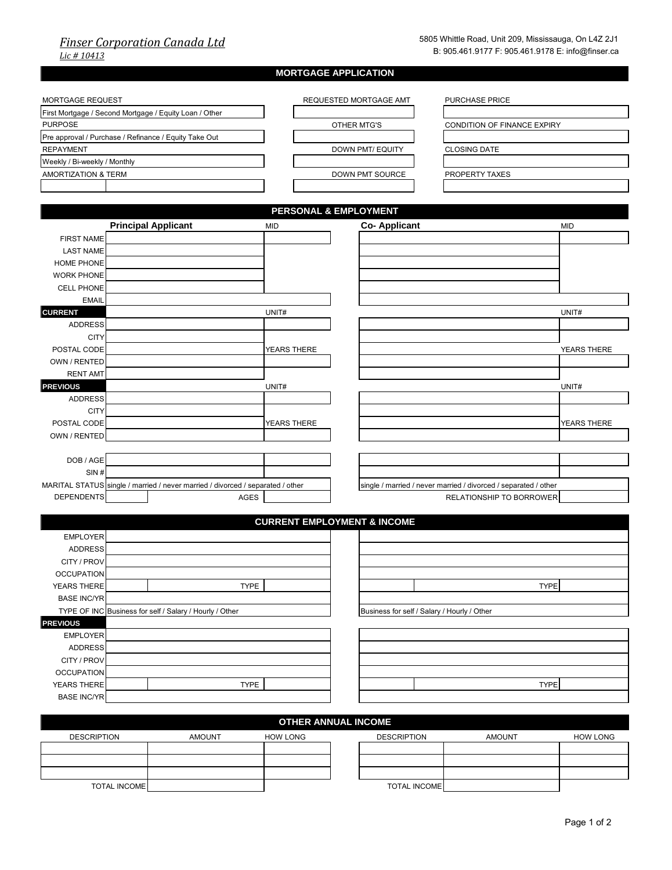## *Finser Corporation Canada Ltd Lic # 10413*

|                                                        |  |                                                                                |                 | <b>MORTGAGE APPLICATION</b> |                                             |                |                                                                 |                    |
|--------------------------------------------------------|--|--------------------------------------------------------------------------------|-----------------|-----------------------------|---------------------------------------------|----------------|-----------------------------------------------------------------|--------------------|
|                                                        |  |                                                                                |                 |                             |                                             |                |                                                                 |                    |
| MORTGAGE REQUEST                                       |  |                                                                                |                 | REQUESTED MORTGAGE AMT      |                                             | PURCHASE PRICE |                                                                 |                    |
| First Mortgage / Second Mortgage / Equity Loan / Other |  |                                                                                |                 |                             |                                             |                |                                                                 |                    |
| <b>PURPOSE</b>                                         |  |                                                                                |                 |                             | OTHER MTG'S                                 |                | CONDITION OF FINANCE EXPIRY                                     |                    |
|                                                        |  | Pre approval / Purchase / Refinance / Equity Take Out                          |                 |                             |                                             |                |                                                                 |                    |
| <b>REPAYMENT</b>                                       |  |                                                                                |                 |                             | <b>DOWN PMT/ EQUITY</b>                     |                | <b>CLOSING DATE</b>                                             |                    |
| Weekly / Bi-weekly / Monthly                           |  |                                                                                |                 |                             |                                             |                |                                                                 |                    |
| <b>AMORTIZATION &amp; TERM</b>                         |  |                                                                                |                 |                             | DOWN PMT SOURCE                             |                | PROPERTY TAXES                                                  |                    |
|                                                        |  |                                                                                |                 |                             |                                             |                |                                                                 |                    |
|                                                        |  |                                                                                |                 |                             |                                             |                |                                                                 |                    |
|                                                        |  |                                                                                |                 | PERSONAL & EMPLOYMENT       |                                             |                |                                                                 |                    |
|                                                        |  | <b>Principal Applicant</b>                                                     | <b>MID</b>      |                             | <b>Co-Applicant</b>                         |                |                                                                 | <b>MID</b>         |
| <b>FIRST NAME</b>                                      |  |                                                                                |                 |                             |                                             |                |                                                                 |                    |
| <b>LAST NAME</b>                                       |  |                                                                                |                 |                             |                                             |                |                                                                 |                    |
| HOME PHONE                                             |  |                                                                                |                 |                             |                                             |                |                                                                 |                    |
| <b>WORK PHONE</b>                                      |  |                                                                                |                 |                             |                                             |                |                                                                 |                    |
| <b>CELL PHONE</b>                                      |  |                                                                                |                 |                             |                                             |                |                                                                 |                    |
| <b>EMAIL</b>                                           |  |                                                                                |                 |                             |                                             |                |                                                                 |                    |
| <b>CURRENT</b>                                         |  |                                                                                | UNIT#           |                             |                                             |                |                                                                 | UNIT#              |
| <b>ADDRESS</b>                                         |  |                                                                                |                 |                             |                                             |                |                                                                 |                    |
| <b>CITY</b>                                            |  |                                                                                |                 |                             |                                             |                |                                                                 |                    |
| POSTAL CODE                                            |  |                                                                                | YEARS THERE     |                             |                                             |                |                                                                 | YEARS THERE        |
| OWN / RENTED                                           |  |                                                                                |                 |                             |                                             |                |                                                                 |                    |
| <b>RENT AMT</b>                                        |  |                                                                                |                 |                             |                                             |                |                                                                 |                    |
| <b>PREVIOUS</b>                                        |  |                                                                                | UNIT#           |                             |                                             |                |                                                                 | UNIT#              |
| <b>ADDRESS</b>                                         |  |                                                                                |                 |                             |                                             |                |                                                                 |                    |
| <b>CITY</b>                                            |  |                                                                                |                 |                             |                                             |                |                                                                 |                    |
| POSTAL CODE<br>OWN / RENTED                            |  |                                                                                | YEARS THERE     |                             |                                             |                |                                                                 | <b>YEARS THERE</b> |
|                                                        |  |                                                                                |                 |                             |                                             |                |                                                                 |                    |
| DOB / AGE                                              |  |                                                                                |                 |                             |                                             |                |                                                                 |                    |
| SIN#                                                   |  |                                                                                |                 |                             |                                             |                |                                                                 |                    |
|                                                        |  | MARITAL STATUS single / married / never married / divorced / separated / other |                 |                             |                                             |                | single / married / never married / divorced / separated / other |                    |
| <b>DEPENDENTS</b>                                      |  |                                                                                | AGES            |                             |                                             |                | RELATIONSHIP TO BORROWER                                        |                    |
|                                                        |  |                                                                                |                 |                             |                                             |                |                                                                 |                    |
|                                                        |  |                                                                                |                 |                             | <b>CURRENT EMPLOYMENT &amp; INCOME</b>      |                |                                                                 |                    |
| <b>EMPLOYER</b>                                        |  |                                                                                |                 |                             |                                             |                |                                                                 |                    |
| <b>ADDRESS</b>                                         |  |                                                                                |                 |                             |                                             |                |                                                                 |                    |
| CITY / PROV                                            |  |                                                                                |                 |                             |                                             |                |                                                                 |                    |
| <b>OCCUPATION</b>                                      |  |                                                                                |                 |                             |                                             |                |                                                                 |                    |
| YEARS THERE                                            |  |                                                                                | <b>TYPE</b>     |                             |                                             |                | <b>TYPE</b>                                                     |                    |
| <b>BASE INC/YR</b>                                     |  |                                                                                |                 |                             |                                             |                |                                                                 |                    |
|                                                        |  | TYPE OF INC Business for self / Salary / Hourly / Other                        |                 |                             | Business for self / Salary / Hourly / Other |                |                                                                 |                    |
| <b>PREVIOUS</b>                                        |  |                                                                                |                 |                             |                                             |                |                                                                 |                    |
| <b>EMPLOYER</b>                                        |  |                                                                                |                 |                             |                                             |                |                                                                 |                    |
| <b>ADDRESS</b>                                         |  |                                                                                |                 |                             |                                             |                |                                                                 |                    |
| CITY / PROV                                            |  |                                                                                |                 |                             |                                             |                |                                                                 |                    |
| <b>OCCUPATION</b>                                      |  |                                                                                |                 |                             |                                             |                |                                                                 |                    |
| YEARS THERE                                            |  |                                                                                | <b>TYPE</b>     |                             |                                             |                | <b>TYPE</b>                                                     |                    |
| <b>BASE INC/YR</b>                                     |  |                                                                                |                 |                             |                                             |                |                                                                 |                    |
|                                                        |  |                                                                                |                 |                             |                                             |                |                                                                 |                    |
|                                                        |  |                                                                                |                 | <b>OTHER ANNUAL INCOME</b>  |                                             |                |                                                                 |                    |
| <b>DESCRIPTION</b>                                     |  | <b>AMOUNT</b>                                                                  | <b>HOW LONG</b> |                             | <b>DESCRIPTION</b>                          |                | <b>AMOUNT</b>                                                   | <b>HOW LONG</b>    |
|                                                        |  |                                                                                |                 |                             |                                             |                |                                                                 |                    |
|                                                        |  |                                                                                |                 |                             |                                             |                |                                                                 |                    |

TOTAL INCOMENT UNITS AND TOTAL INCOMENT UNITS AND TOTAL INCOMENT UNITS AND TOTAL INCOMENT UNITS AND TOTAL INCOMENT UNITS AND TOTAL INCOMENT UNITS AND TOTAL INCOMENT UNITS AND TOTAL INCOMENT UNITS AND TOTAL INCOMENT UNITS A